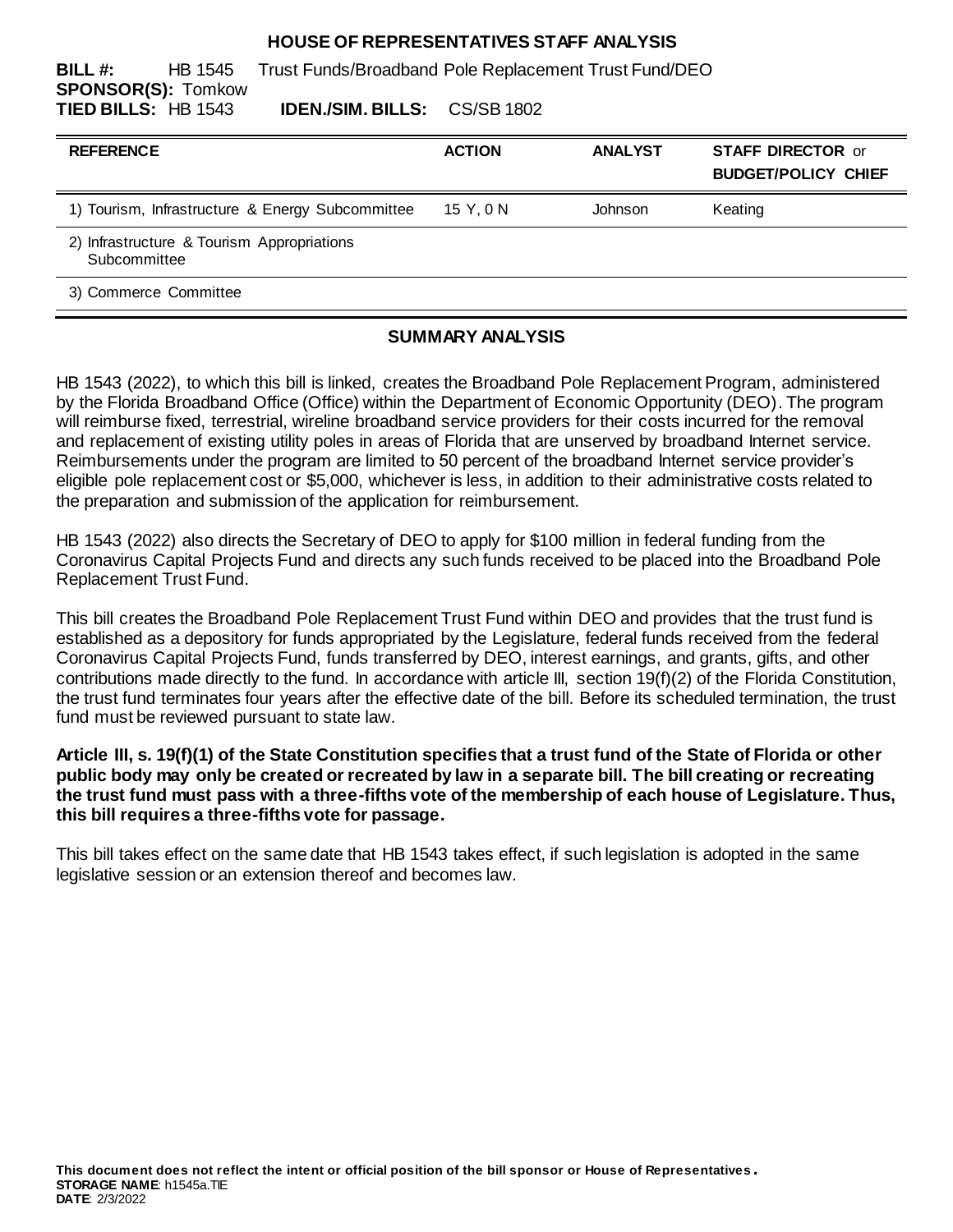#### **HOUSE OF REPRESENTATIVES STAFF ANALYSIS**

**BILL #:** HB 1545 Trust Funds/Broadband Pole Replacement Trust Fund/DEO **SPONSOR(S):** Tomkow **TIED BILLS:** HB 1543 **IDEN./SIM. BILLS:** CS/SB 1802

| <b>REFERENCE</b>                                           | <b>ACTION</b> | <b>ANALYST</b> | <b>STAFF DIRECTOR or</b><br><b>BUDGET/POLICY CHIEF</b> |
|------------------------------------------------------------|---------------|----------------|--------------------------------------------------------|
| 1) Tourism, Infrastructure & Energy Subcommittee           | 15 Y.ON       | Johnson        | Keating                                                |
| 2) Infrastructure & Tourism Appropriations<br>Subcommittee |               |                |                                                        |
| 3) Commerce Committee                                      |               |                |                                                        |

### **SUMMARY ANALYSIS**

HB 1543 (2022), to which this bill is linked, creates the Broadband Pole Replacement Program, administered by the Florida Broadband Office (Office) within the Department of Economic Opportunity (DEO). The program will reimburse fixed, terrestrial, wireline broadband service providers for their costs incurred for the removal and replacement of existing utility poles in areas of Florida that are unserved by broadband Internet service. Reimbursements under the program are limited to 50 percent of the broadband Internet service provider's eligible pole replacement cost or \$5,000, whichever is less, in addition to their administrative costs related to the preparation and submission of the application for reimbursement.

HB 1543 (2022) also directs the Secretary of DEO to apply for \$100 million in federal funding from the Coronavirus Capital Projects Fund and directs any such funds received to be placed into the Broadband Pole Replacement Trust Fund.

This bill creates the Broadband Pole Replacement Trust Fund within DEO and provides that the trust fund is established as a depository for funds appropriated by the Legislature, federal funds received from the federal Coronavirus Capital Projects Fund, funds transferred by DEO, interest earnings, and grants, gifts, and other contributions made directly to the fund. In accordance with article III, section 19(f)(2) of the Florida Constitution, the trust fund terminates four years after the effective date of the bill. Before its scheduled termination, the trust fund must be reviewed pursuant to state law.

### **Article III, s. 19(f)(1) of the State Constitution specifies that a trust fund of the State of Florida or other public body may only be created or recreated by law in a separate bill. The bill creating or recreating the trust fund must pass with a three-fifths vote of the membership of each house of Legislature. Thus, this bill requires a three-fifths vote for passage.**

This bill takes effect on the same date that HB 1543 takes effect, if such legislation is adopted in the same legislative session or an extension thereof and becomes law.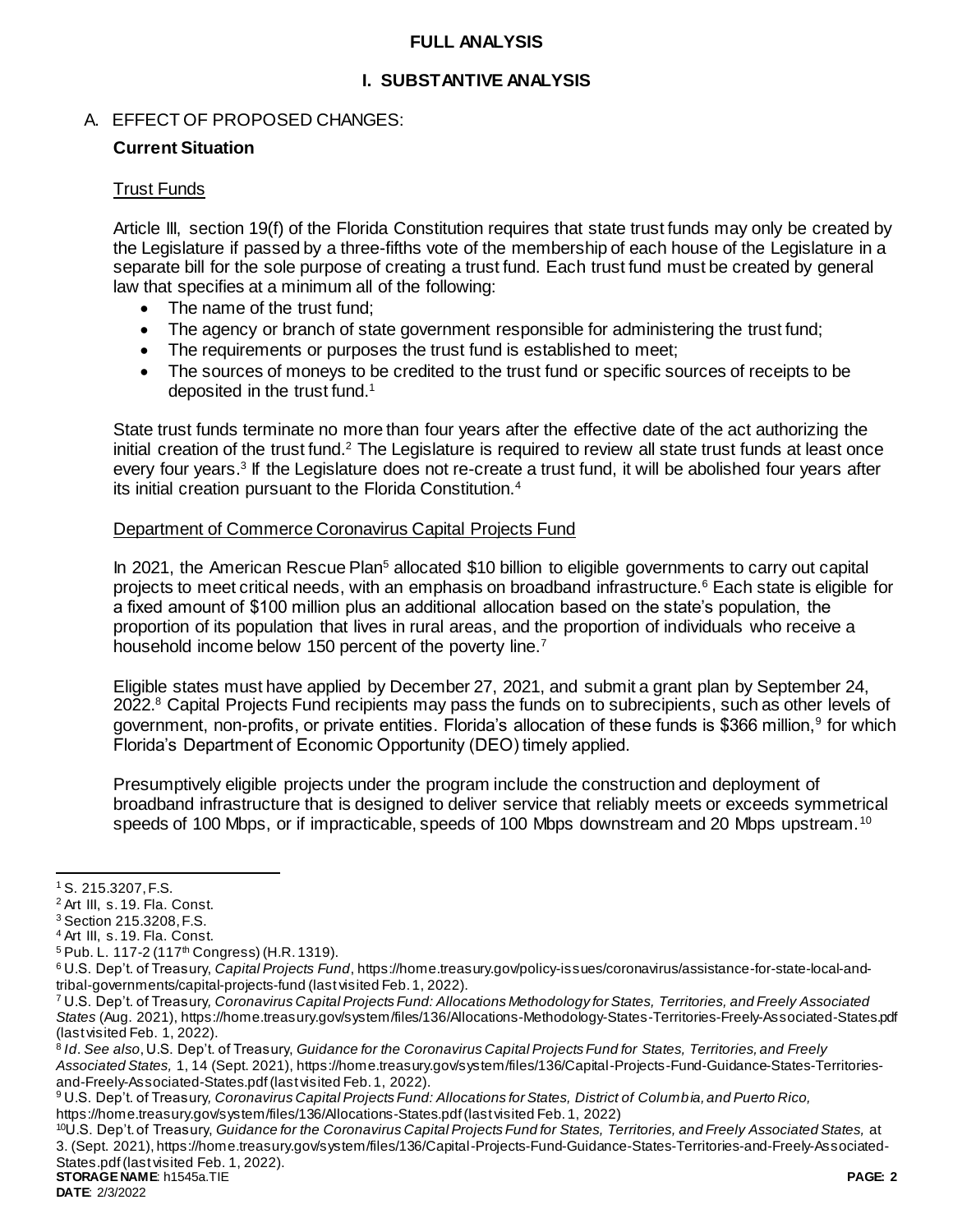## **FULL ANALYSIS**

# **I. SUBSTANTIVE ANALYSIS**

# A. EFFECT OF PROPOSED CHANGES:

## **Current Situation**

## Trust Funds

Article III, section 19(f) of the Florida Constitution requires that state trust funds may only be created by the Legislature if passed by a three-fifths vote of the membership of each house of the Legislature in a separate bill for the sole purpose of creating a trust fund. Each trust fund must be created by general law that specifies at a minimum all of the following:

- The name of the trust fund:
- The agency or branch of state government responsible for administering the trust fund;
- The requirements or purposes the trust fund is established to meet;
- The sources of moneys to be credited to the trust fund or specific sources of receipts to be deposited in the trust fund.<sup>1</sup>

State trust funds terminate no more than four years after the effective date of the act authorizing the initial creation of the trust fund.<sup>2</sup> The Legislature is required to review all state trust funds at least once every four years.<sup>3</sup> If the Legislature does not re-create a trust fund, it will be abolished four years after its initial creation pursuant to the Florida Constitution.<sup>4</sup>

### Department of Commerce Coronavirus Capital Projects Fund

In 2021, the American Rescue Plan<sup>5</sup> allocated \$10 billion to eligible governments to carry out capital projects to meet critical needs, with an emphasis on broadband infrastructure.<sup>6</sup> Each state is eligible for a fixed amount of \$100 million plus an additional allocation based on the state's population, the proportion of its population that lives in rural areas, and the proportion of individuals who receive a household income below 150 percent of the poverty line.<sup>7</sup>

Eligible states must have applied by December 27, 2021, and submit a grant plan by September 24, 2022.<sup>8</sup> Capital Projects Fund recipients may pass the funds on to subrecipients, such as other levels of government, non-profits, or private entities. Florida's allocation of these funds is \$366 million,<sup>9</sup> for which Florida's Department of Economic Opportunity (DEO) timely applied.

Presumptively eligible projects under the program include the construction and deployment of broadband infrastructure that is designed to deliver service that reliably meets or exceeds symmetrical speeds of 100 Mbps, or if impracticable, speeds of 100 Mbps downstream and 20 Mbps upstream.<sup>10</sup>

 $\overline{a}$ 

<sup>1</sup> S. 215.3207, F.S.

<sup>2</sup> Art III, s. 19. Fla. Const.

<sup>3</sup> Section 215.3208, F.S.

<sup>4</sup> Art III, s. 19. Fla. Const.

<sup>&</sup>lt;sup>5</sup> Pub. L. 117-2 (117<sup>th</sup> Congress) (H.R. 1319).

<sup>6</sup> U.S. Dep't. of Treasury, *Capital Projects Fund*[, https://home.treasury.gov/policy-issues/coronavirus/assistance-for-state-local-and](https://home.treasury.gov/policy-issues/coronavirus/assistance-for-state-local-and-tribal-governments/capital-projects-fund)[tribal-governments/capital-projects-fund](https://home.treasury.gov/policy-issues/coronavirus/assistance-for-state-local-and-tribal-governments/capital-projects-fund) (last visited Feb. 1, 2022).

<sup>7</sup> U.S. Dep't. of Treasury*, Coronavirus Capital Projects Fund: Allocations Methodology for States, Territories, and Freely Associated States* (Aug. 2021)[, https://home.treasury.gov/system/files/136/Allocations-Methodology-States-Territories-Freely-Associated-States.pdf](https://home.treasury.gov/system/files/136/Allocations-Methodology-States-Territories-Freely-Associated-States.pdf) (last visited Feb. 1, 2022).

<sup>8</sup> *Id*. *See also*, U.S. Dep't. of Treasury, *Guidance for the Coronavirus Capital Projects Fund for States, Territories, and Freely Associated States,* 1, 14 (Sept. 2021)[, https://home.treasury.gov/system/files/136/Capital-Projects-Fund-Guidance-States-Territories](https://home.treasury.gov/system/files/136/Capital-Projects-Fund-Guidance-States-Territories-and-Freely-Associated-States.pdf)[and-Freely-Associated-States.pdf](https://home.treasury.gov/system/files/136/Capital-Projects-Fund-Guidance-States-Territories-and-Freely-Associated-States.pdf)(last visited Feb. 1, 2022).

<sup>9</sup> U.S. Dep't. of Treasury*, Coronavirus Capital Projects Fund: Allocations for States, District of Columbia, and Puerto Rico,* <https://home.treasury.gov/system/files/136/Allocations-States.pdf>(last visited Feb. 1, 2022)

<sup>10</sup>U.S. Dep't. of Treasury, *Guidance for the Coronavirus Capital Projects Fund for States, Territories, and Freely Associated States,* at 3. (Sept. 2021)[, https://home.treasury.gov/system/files/136/Capital-Projects-Fund-Guidance-States-Territories-and-Freely-Associated-](https://home.treasury.gov/system/files/136/Capital-Projects-Fund-Guidance-States-Territories-and-Freely-Associated-States.pdf)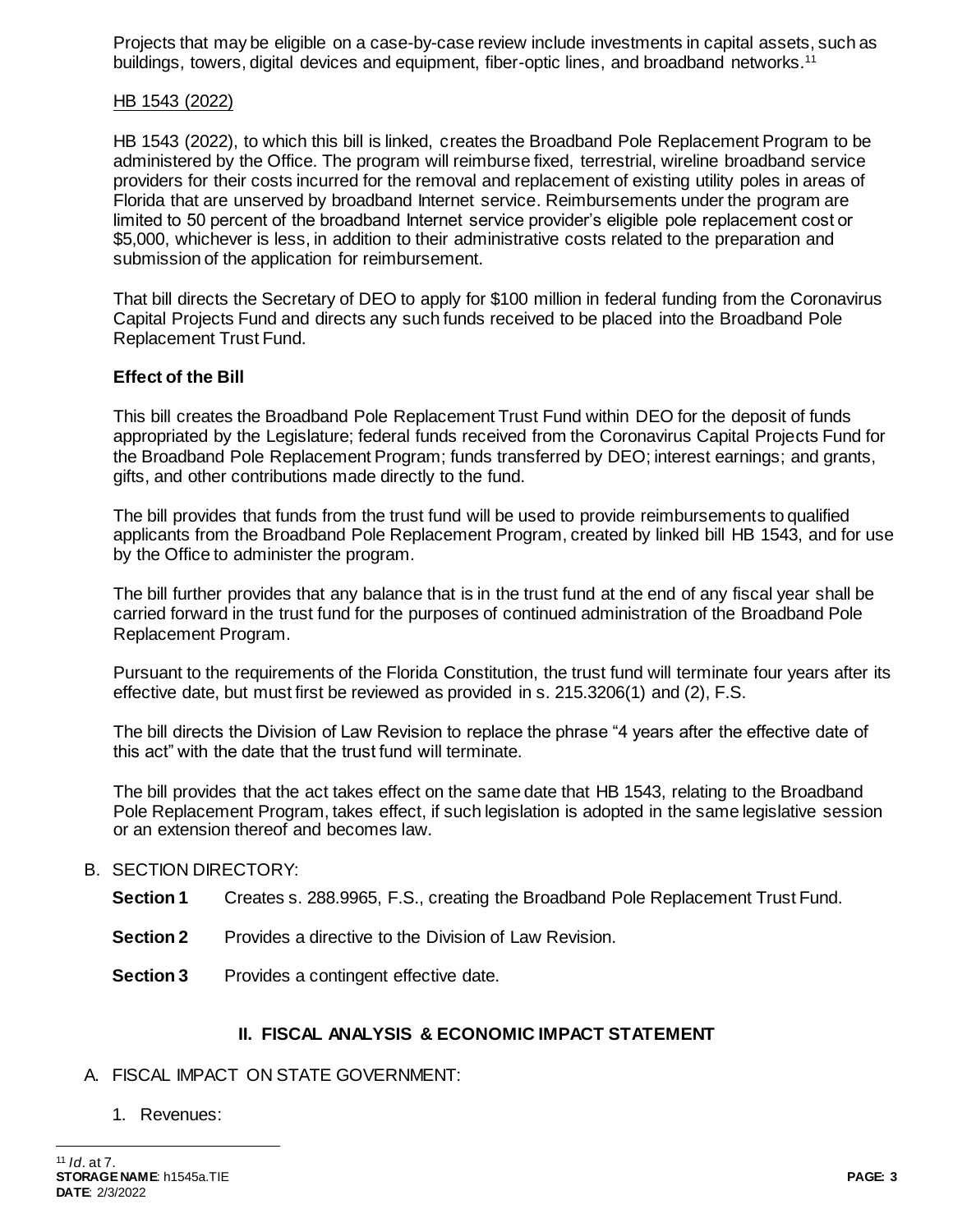Projects that may be eligible on a case-by-case review include investments in capital assets, such as buildings, towers, digital devices and equipment, fiber-optic lines, and broadband networks.<sup>11</sup>

## HB 1543 (2022)

HB 1543 (2022), to which this bill is linked, creates the Broadband Pole Replacement Program to be administered by the Office. The program will reimburse fixed, terrestrial, wireline broadband service providers for their costs incurred for the removal and replacement of existing utility poles in areas of Florida that are unserved by broadband Internet service. Reimbursements under the program are limited to 50 percent of the broadband Internet service provider's eligible pole replacement cost or \$5,000, whichever is less, in addition to their administrative costs related to the preparation and submission of the application for reimbursement.

That bill directs the Secretary of DEO to apply for \$100 million in federal funding from the Coronavirus Capital Projects Fund and directs any such funds received to be placed into the Broadband Pole Replacement Trust Fund.

# **Effect of the Bill**

This bill creates the Broadband Pole Replacement Trust Fund within DEO for the deposit of funds appropriated by the Legislature; federal funds received from the Coronavirus Capital Projects Fund for the Broadband Pole Replacement Program; funds transferred by DEO; interest earnings; and grants, gifts, and other contributions made directly to the fund.

The bill provides that funds from the trust fund will be used to provide reimbursements to qualified applicants from the Broadband Pole Replacement Program, created by linked bill HB 1543, and for use by the Office to administer the program.

The bill further provides that any balance that is in the trust fund at the end of any fiscal year shall be carried forward in the trust fund for the purposes of continued administration of the Broadband Pole Replacement Program.

Pursuant to the requirements of the Florida Constitution, the trust fund will terminate four years after its effective date, but must first be reviewed as provided in s. 215.3206(1) and (2), F.S.

The bill directs the Division of Law Revision to replace the phrase "4 years after the effective date of this act" with the date that the trust fund will terminate.

The bill provides that the act takes effect on the same date that HB 1543, relating to the Broadband Pole Replacement Program, takes effect, if such legislation is adopted in the same legislative session or an extension thereof and becomes law.

#### B. SECTION DIRECTORY:

- **Section 1** Creates s. 288.9965, F.S., creating the Broadband Pole Replacement Trust Fund.
- **Section 2** Provides a directive to the Division of Law Revision.
- **Section 3** Provides a contingent effective date.

#### **II. FISCAL ANALYSIS & ECONOMIC IMPACT STATEMENT**

#### A. FISCAL IMPACT ON STATE GOVERNMENT:

1. Revenues:

 $\overline{a}$